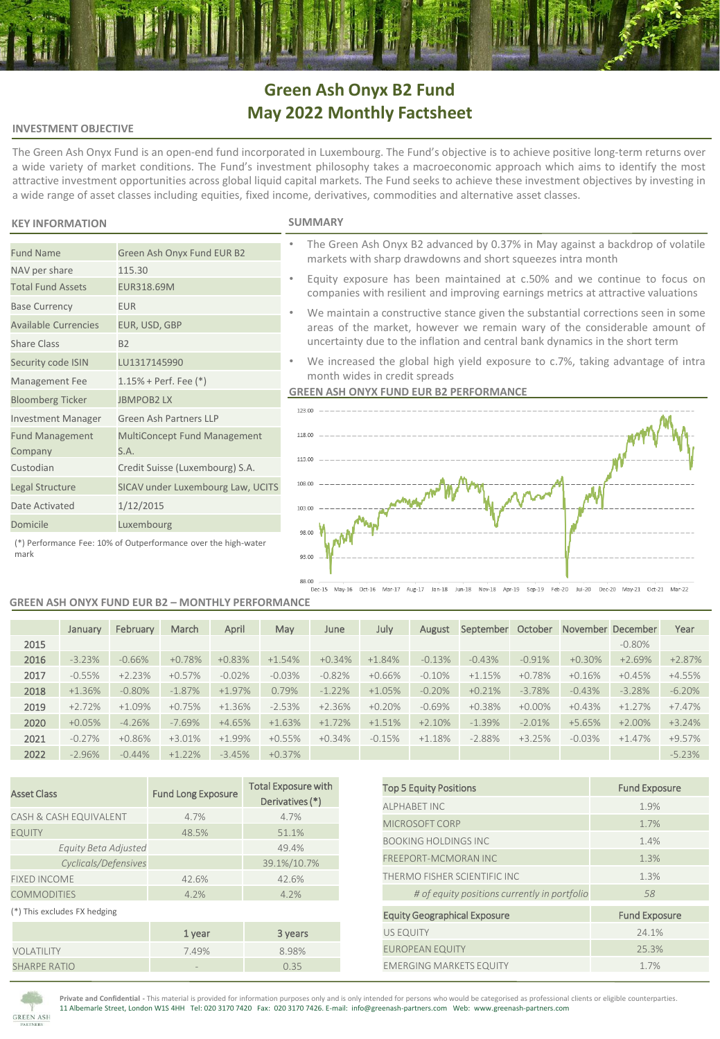# **Green Ash Onyx B2 Fund May 2022 Monthly Factsheet**

### **INVESTMENT OBJECTIVE**

The Green Ash Onyx Fund is an open-end fund incorporated in Luxembourg. The Fund's objective is to achieve positive long-term returns over a wide variety of market conditions. The Fund's investment philosophy takes a macroeconomic approach which aims to identify the most attractive investment opportunities across global liquid capital markets. The Fund seeks to achieve these investment objectives by investing in a wide range of asset classes including equities, fixed income, derivatives, commodities and alternative asset classes.

# **KEY INFORMATION SUMMARY**

NAV per share 115.30 Total Fund Assets EUR318.69M

Base Currency **EUR** 

Share Class B2

Fund Management Company

Available Currencies EUR, USD, GBP

Security code ISIN LU1317145990 Management Fee 1.15% + Perf. Fee (\*) Bloomberg Ticker JBMPOB2 LX

Date Activated 1/12/2015 Domicile Luxembourg

Investment Manager Green Ash Partners LLP

S.A. Custodian Credit Suisse (Luxembourg) S.A. Legal Structure SICAV under Luxembourg Law, UCITS

Fund Name Green Ash Onyx Fund EUR B2

- The Green Ash Onyx B2 advanced by 0.37% in May against a backdrop of volatile markets with sharp drawdowns and short squeezes intra month
- Equity exposure has been maintained at c.50% and we continue to focus on companies with resilient and improving earnings metrics at attractive valuations
- We maintain a constructive stance given the substantial corrections seen in some areas of the market, however we remain wary of the considerable amount of uncertainty due to the inflation and central bank dynamics in the short term
- We increased the global high yield exposure to c.7%, taking advantage of intra month wides in credit spreads

### **GREEN ASH ONYX FUND EUR B2 PERFORMANCE**



(\*) Performance Fee: 10% of Outperformance over the high-water mark

#### **GREEN ASH ONYX FUND EUR B2 – MONTHLY PERFORMANCE**

MultiConcept Fund Management

|      | January  | February  | March    | April    | May      | June     | July     | August    | September | October   | November December |           | Year     |
|------|----------|-----------|----------|----------|----------|----------|----------|-----------|-----------|-----------|-------------------|-----------|----------|
| 2015 |          |           |          |          |          |          |          |           |           |           |                   | $-0.80\%$ |          |
| 2016 | $-3.23%$ | $-0.66%$  | $+0.78%$ | $+0.83%$ | $+1.54%$ | $+0.34%$ | $+1.84%$ | $-0.13%$  | $-0.43%$  | $-0.91%$  | $+0.30%$          | $+2.69%$  | $+2.87%$ |
| 2017 | $-0.55%$ | $+2.23%$  | $+0.57%$ | $-0.02%$ | $-0.03%$ | $-0.82%$ | $+0.66%$ | $-0.10\%$ | $+1.15%$  | $+0.78%$  | $+0.16%$          | $+0.45%$  | $+4.55%$ |
| 2018 | $+1.36%$ | $-0.80\%$ | $-1.87%$ | $+1.97%$ | 0.79%    | $-1.22%$ | $+1.05%$ | $-0.20%$  | $+0.21%$  | $-3.78%$  | $-0.43%$          | $-3.28%$  | $-6.20%$ |
| 2019 | $+2.72%$ | $+1.09%$  | $+0.75%$ | $+1.36%$ | $-2.53%$ | $+2.36%$ | $+0.20%$ | $-0.69%$  | $+0.38%$  | $+0.00\%$ | $+0.43%$          | $+1.27%$  | $+7.47%$ |
| 2020 | $+0.05%$ | $-4.26%$  | $-7.69%$ | $+4.65%$ | $+1.63%$ | $+1.72%$ | $+1.51%$ | $+2.10%$  | $-1.39%$  | $-2.01%$  | $+5.65%$          | $+2.00\%$ | $+3.24%$ |
| 2021 | $-0.27%$ | $+0.86%$  | $+3.01%$ | $+1.99%$ | $+0.55%$ | $+0.34%$ | $-0.15%$ | $+1.18%$  | $-2.88%$  | $+3.25%$  | $-0.03%$          | $+1.47%$  | $+9.57%$ |
| 2022 | $-2.96%$ | $-0.44%$  | $+1.22%$ | $-3.45%$ | $+0.37%$ |          |          |           |           |           |                   |           | $-5.23%$ |

| <b>Asset Class</b>           | <b>Fund Long Exposure</b> | <b>Total Exposure with</b><br>Derivatives (*) |  |  |  |
|------------------------------|---------------------------|-----------------------------------------------|--|--|--|
| CASH & CASH EQUIVALENT       | 4.7%                      | 4.7%                                          |  |  |  |
| <b>EQUITY</b>                | 48.5%                     | 51.1%                                         |  |  |  |
| Equity Beta Adjusted         |                           | 49.4%                                         |  |  |  |
| Cyclicals/Defensives         |                           | 39.1%/10.7%                                   |  |  |  |
| <b>FIXED INCOME</b>          | 42.6%                     | 42.6%                                         |  |  |  |
| <b>COMMODITIES</b>           | 4.2%                      | 4.2%                                          |  |  |  |
| (*) This excludes FX hedging |                           |                                               |  |  |  |
|                              | 1 year                    | 3 years                                       |  |  |  |
| VOLATILITY                   | 7.49%                     | 8.98%                                         |  |  |  |
| <b>SHARPE RATIO</b>          |                           | 0.35                                          |  |  |  |

| <b>Top 5 Equity Positions</b>                | <b>Fund Exposure</b> |
|----------------------------------------------|----------------------|
| <b>ALPHABET INC</b>                          | 1.9%                 |
| MICROSOFT CORP                               | 1.7%                 |
| <b>BOOKING HOLDINGS INC.</b>                 | 1.4%                 |
| <b>FREEPORT-MCMORAN INC</b>                  | 1.3%                 |
| THERMO FISHER SCIENTIFIC INC                 | 1.3%                 |
| # of equity positions currently in portfolio | 58                   |
| <b>Equity Geographical Exposure</b>          | <b>Fund Exposure</b> |
| <b>US EQUITY</b>                             | 24.1%                |
| <b>EUROPEAN EQUITY</b>                       | 25.3%                |
| <b>EMERGING MARKETS EQUITY</b>               | 1.7%                 |



**Private and Confidential -** This material is provided for information purposes only and is only intended for persons who would be categorised as professional clients or eligible counterparties. 11 Albemarle Street, London W1S 4HH Tel: 020 3170 7420 Fax: 020 3170 7426. E-mail: info@greenash-partners.com Web: www.greenash-partners.com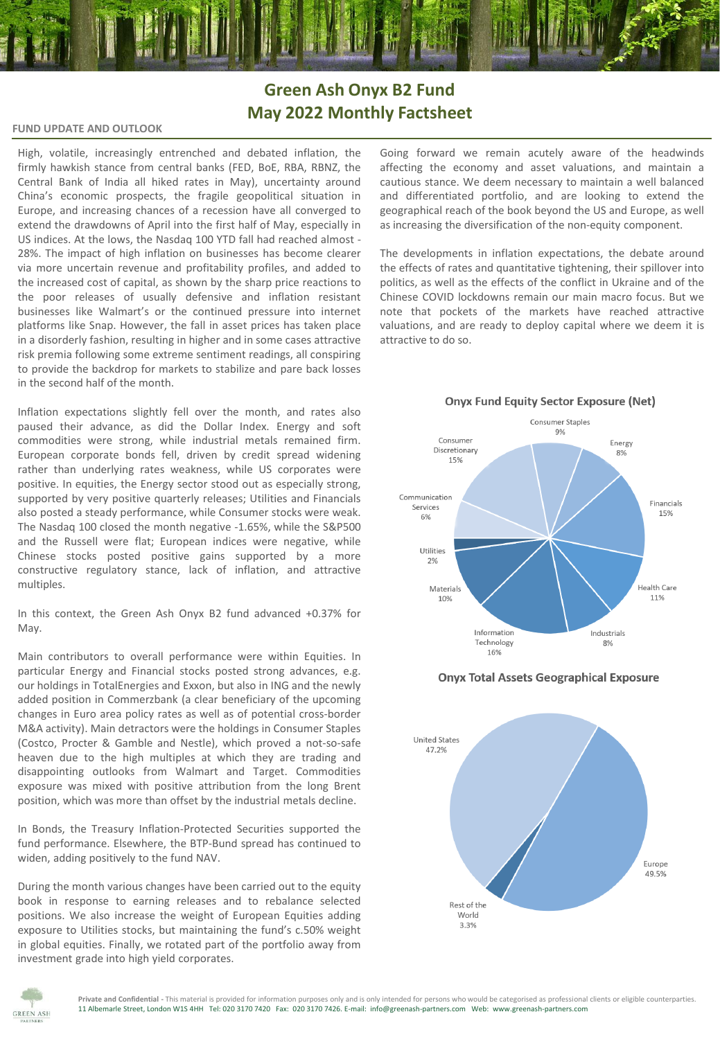# **Green Ash Onyx B2 Fund May 2022 Monthly Factsheet**

# **FUND UPDATE AND OUTLOOK**

High, volatile, increasingly entrenched and debated inflation, the firmly hawkish stance from central banks (FED, BoE, RBA, RBNZ, the Central Bank of India all hiked rates in May), uncertainty around China's economic prospects, the fragile geopolitical situation in Europe, and increasing chances of a recession have all converged to extend the drawdowns of April into the first half of May, especially in US indices. At the lows, the Nasdaq 100 YTD fall had reached almost - 28%. The impact of high inflation on businesses has become clearer via more uncertain revenue and profitability profiles, and added to the increased cost of capital, as shown by the sharp price reactions to the poor releases of usually defensive and inflation resistant businesses like Walmart's or the continued pressure into internet platforms like Snap. However, the fall in asset prices has taken place in a disorderly fashion, resulting in higher and in some cases attractive risk premia following some extreme sentiment readings, all conspiring to provide the backdrop for markets to stabilize and pare back losses in the second half of the month.

Inflation expectations slightly fell over the month, and rates also paused their advance, as did the Dollar Index. Energy and soft commodities were strong, while industrial metals remained firm. European corporate bonds fell, driven by credit spread widening rather than underlying rates weakness, while US corporates were positive. In equities, the Energy sector stood out as especially strong, supported by very positive quarterly releases; Utilities and Financials also posted a steady performance, while Consumer stocks were weak. The Nasdaq 100 closed the month negative -1.65%, while the S&P500 and the Russell were flat; European indices were negative, while Chinese stocks posted positive gains supported by a more constructive regulatory stance, lack of inflation, and attractive multiples.

In this context, the Green Ash Onyx B2 fund advanced +0.37% for May.

Main contributors to overall performance were within Equities. In particular Energy and Financial stocks posted strong advances, e.g. our holdings in TotalEnergies and Exxon, but also in ING and the newly added position in Commerzbank (a clear beneficiary of the upcoming changes in Euro area policy rates as well as of potential cross-border M&A activity). Main detractors were the holdings in Consumer Staples (Costco, Procter & Gamble and Nestle), which proved a not-so-safe heaven due to the high multiples at which they are trading and disappointing outlooks from Walmart and Target. Commodities exposure was mixed with positive attribution from the long Brent position, which was more than offset by the industrial metals decline.

In Bonds, the Treasury Inflation-Protected Securities supported the fund performance. Elsewhere, the BTP-Bund spread has continued to widen, adding positively to the fund NAV.

During the month various changes have been carried out to the equity book in response to earning releases and to rebalance selected positions. We also increase the weight of European Equities adding exposure to Utilities stocks, but maintaining the fund's c.50% weight in global equities. Finally, we rotated part of the portfolio away from investment grade into high yield corporates.

Going forward we remain acutely aware of the headwinds affecting the economy and asset valuations, and maintain a cautious stance. We deem necessary to maintain a well balanced and differentiated portfolio, and are looking to extend the geographical reach of the book beyond the US and Europe, as well as increasing the diversification of the non-equity component.

The developments in inflation expectations, the debate around the effects of rates and quantitative tightening, their spillover into politics, as well as the effects of the conflict in Ukraine and of the Chinese COVID lockdowns remain our main macro focus. But we note that pockets of the markets have reached attractive valuations, and are ready to deploy capital where we deem it is attractive to do so.



**Onyx Fund Equity Sector Exposure (Net)** 

**Onyx Total Assets Geographical Exposure**